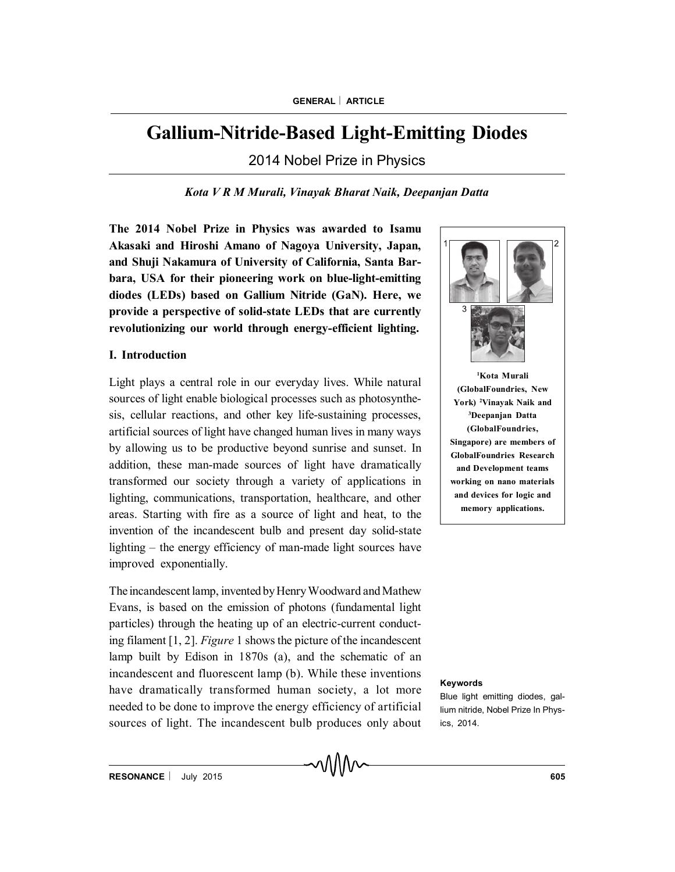# **Gallium-Nitride-Based Light-Emitting Diodes**

2014 Nobel Prize in Physics

*Kota V R M Murali, Vinayak Bharat Naik, Deepanjan Datta*

**The 2014 Nobel Prize in Physics was awarded to Isamu Akasaki and Hiroshi Amano of Nagoya University, Japan, and Shuji Nakamura of University of California, Santa Barbara, USA for their pioneering work on blue-light-emitting diodes (LEDs) based on Gallium Nitride (GaN). Here, we provide a perspective of solid-state LEDs that are currently revolutionizing our world through energy-efficient lighting.**

## **I. Introduction**

Light plays a central role in our everyday lives. While natural sources of light enable biological processes such as photosynthesis, cellular reactions, and other key life-sustaining processes, artificial sources of light have changed human lives in many ways by allowing us to be productive beyond sunrise and sunset. In addition, these man-made sources of light have dramatically transformed our society through a variety of applications in lighting, communications, transportation, healthcare, and other areas. Starting with fire as a source of light and heat, to the invention of the incandescent bulb and present day solid-state lighting – the energy efficiency of man-made light sources have improved exponentially.

The incandescent lamp, invented by Henry Woodward and Mathew Evans, is based on the emission of photons (fundamental light particles) through the heating up of an electric-current conducting filament [1, 2]. *Figure* 1 shows the picture of the incandescent lamp built by Edison in 1870s (a), and the schematic of an incandescent and fluorescent lamp (b). While these inventions have dramatically transformed human society, a lot more needed to be done to improve the energy efficiency of artificial sources of light. The incandescent bulb produces only about



**<sup>1</sup>Kota Murali (GlobalFoundries, New York) <sup>2</sup>Vinayak Naik and <sup>3</sup>Deepanjan Datta (GlobalFoundries, Singapore) are members of GlobalFoundries Research and Development teams working on nano materials and devices for logic and memory applications.**

#### **Keywords**

Blue light emitting diodes, gallium nitride, Nobel Prize In Physics, 2014.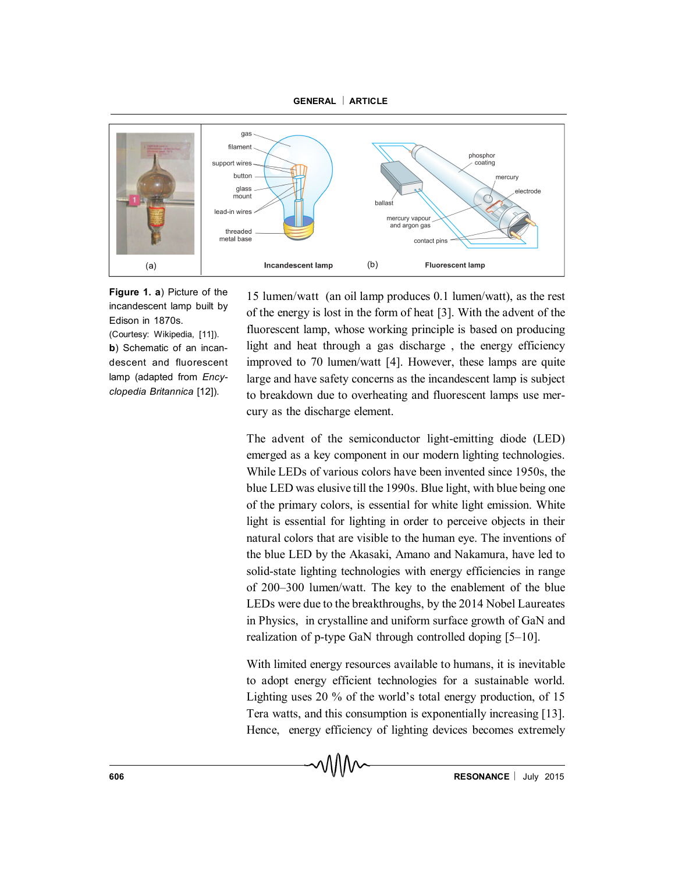

**Figure 1. a**) Picture of the incandescent lamp built by Edison in 1870s. (Courtesy: Wikipedia, [11]). **b**) Schematic of an incandescent and fluorescent lamp (adapted from *Encyclopedia Britannica* [12]).

15 lumen/watt (an oil lamp produces 0.1 lumen/watt), as the rest of the energy is lost in the form of heat [3]. With the advent of the fluorescent lamp, whose working principle is based on producing light and heat through a gas discharge , the energy efficiency improved to 70 lumen/watt [4]. However, these lamps are quite large and have safety concerns as the incandescent lamp is subject to breakdown due to overheating and fluorescent lamps use mercury as the discharge element.

The advent of the semiconductor light-emitting diode (LED) emerged as a key component in our modern lighting technologies. While LEDs of various colors have been invented since 1950s, the blue LED was elusive till the 1990s. Blue light, with blue being one of the primary colors, is essential for white light emission. White light is essential for lighting in order to perceive objects in their natural colors that are visible to the human eye. The inventions of the blue LED by the Akasaki, Amano and Nakamura, have led to solid-state lighting technologies with energy efficiencies in range of 200–300 lumen/watt. The key to the enablement of the blue LEDs were due to the breakthroughs, by the 2014 Nobel Laureates in Physics, in crystalline and uniform surface growth of GaN and realization of p-type GaN through controlled doping [5–10].

With limited energy resources available to humans, it is inevitable to adopt energy efficient technologies for a sustainable world. Lighting uses 20 % of the world's total energy production, of 15 Tera watts, and this consumption is exponentially increasing [13]. Hence, energy efficiency of lighting devices becomes extremely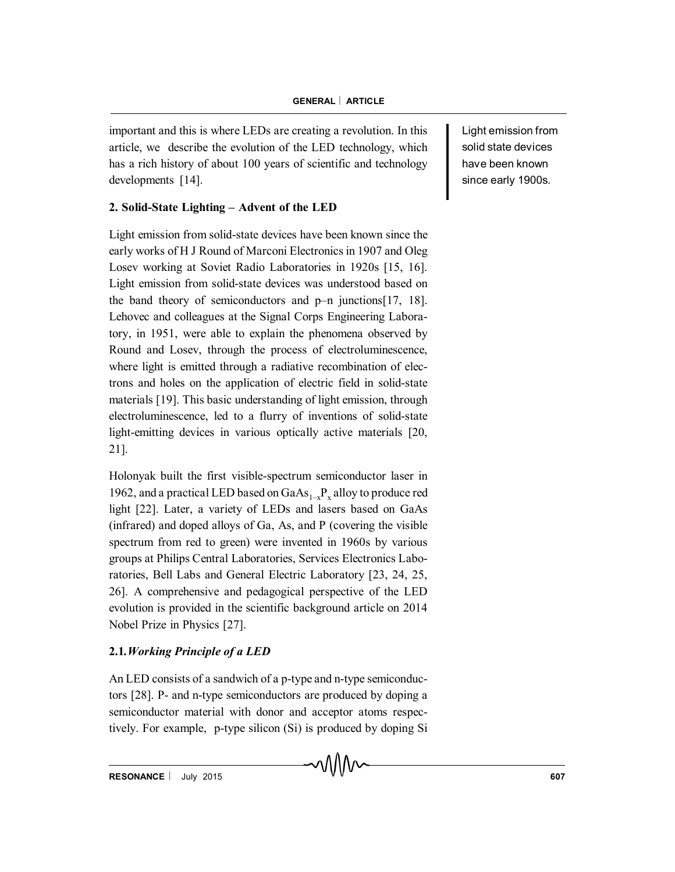important and this is where LEDs are creating a revolution. In this article, we describe the evolution of the LED technology, which has a rich history of about 100 years of scientific and technology developments [14].

## **2. Solid-State Lighting – Advent of the LED**

Light emission from solid-state devices have been known since the early works of H J Round of Marconi Electronics in 1907 and Oleg Losev working at Soviet Radio Laboratories in 1920s [15, 16]. Light emission from solid-state devices was understood based on the band theory of semiconductors and p–n junctions[17, 18]. Lehovec and colleagues at the Signal Corps Engineering Laboratory, in 1951, were able to explain the phenomena observed by Round and Losev, through the process of electroluminescence, where light is emitted through a radiative recombination of electrons and holes on the application of electric field in solid-state materials [19]. This basic understanding of light emission, through electroluminescence, led to a flurry of inventions of solid-state light-emitting devices in various optically active materials [20, 21].

Holonyak built the first visible-spectrum semiconductor laser in 1962, and a practical LED based on  $GaAs_{1-x}P_x$  alloy to produce red light [22]. Later, a variety of LEDs and lasers based on GaAs (infrared) and doped alloys of Ga, As, and P (covering the visible spectrum from red to green) were invented in 1960s by various groups at Philips Central Laboratories, Services Electronics Laboratories, Bell Labs and General Electric Laboratory [23, 24, 25, 26]. A comprehensive and pedagogical perspective of the LED evolution is provided in the scientific background article on 2014 Nobel Prize in Physics [27].

# **2.1***.Working Principle of a LED*

An LED consists of a sandwich of a p-type and n-type semiconductors [28]. P- and n-type semiconductors are produced by doping a semiconductor material with donor and acceptor atoms respectively. For example, p-type silicon (Si) is produced by doping Si Light emission from solid state devices have been known since early 1900s.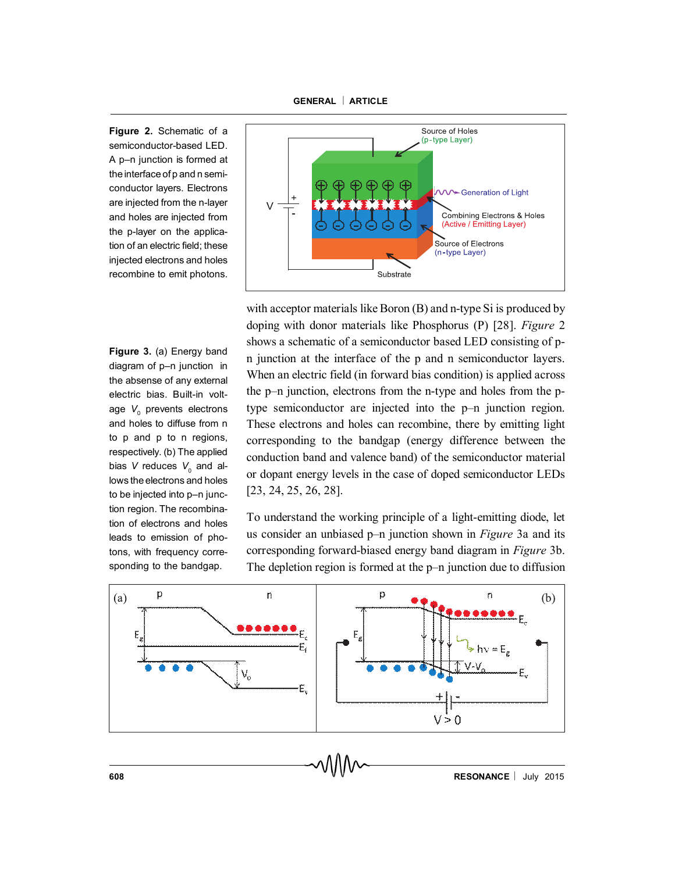**Figure 2.** Schematic of a semiconductor-based LED. A p–n junction is formed at the interface of p and n semiconductor layers. Electrons are injected from the n-layer and holes are injected from the p-layer on the application of an electric field; these injected electrons and holes recombine to emit photons.

**Figure 3.** (a) Energy band diagram of p–n junction in the absense of any external electric bias. Built-in voltage V<sub>0</sub> prevents electrons and holes to diffuse from n to p and p to n regions, respectively. (b) The applied bias V reduces V<sub>0</sub> and allows the electrons and holes to be injected into p–n junction region. The recombination of electrons and holes leads to emission of photons, with frequency corresponding to the bandgap.



with acceptor materials like Boron (B) and n-type Si is produced by doping with donor materials like Phosphorus (P) [28]. *Figure* 2 shows a schematic of a semiconductor based LED consisting of pn junction at the interface of the p and n semiconductor layers. When an electric field (in forward bias condition) is applied across the p–n junction, electrons from the n-type and holes from the ptype semiconductor are injected into the p–n junction region. These electrons and holes can recombine, there by emitting light corresponding to the bandgap (energy difference between the conduction band and valence band) of the semiconductor material or dopant energy levels in the case of doped semiconductor LEDs [23, 24, 25, 26, 28].

To understand the working principle of a light-emitting diode, let us consider an unbiased p–n junction shown in *Figure* 3a and its corresponding forward-biased energy band diagram in *Figure* 3b. The depletion region is formed at the p–n junction due to diffusion

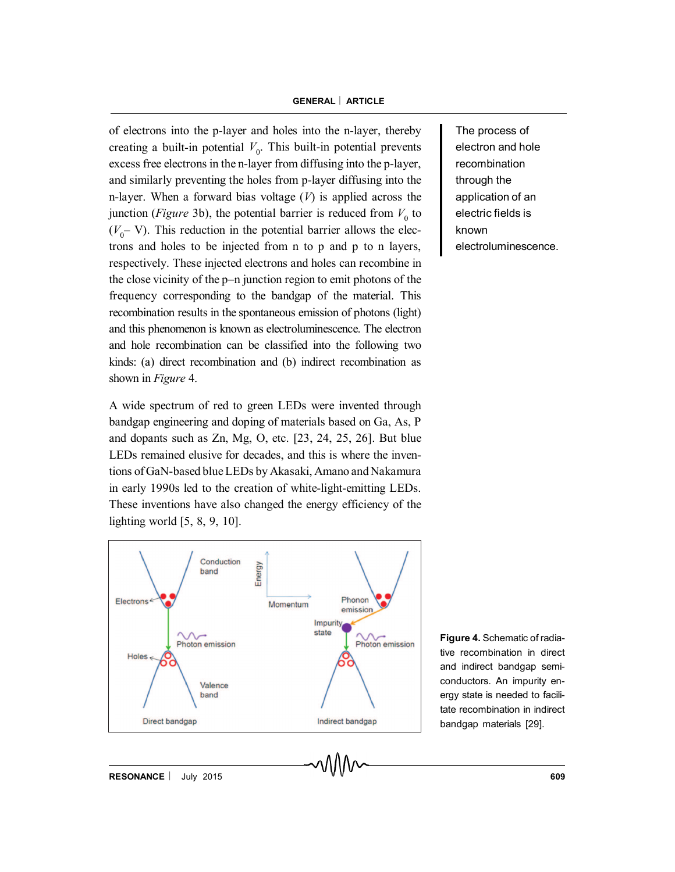of electrons into the p-layer and holes into the n-layer, thereby creating a built-in potential  $V_0$ . This built-in potential prevents excess free electrons in the n-layer from diffusing into the p-layer, and similarly preventing the holes from p-layer diffusing into the n-layer. When a forward bias voltage (*V*) is applied across the junction (*Figure* 3b), the potential barrier is reduced from  $V_0$  to  $(V_0$ – V). This reduction in the potential barrier allows the electrons and holes to be injected from n to p and p to n layers, respectively. These injected electrons and holes can recombine in the close vicinity of the p–n junction region to emit photons of the frequency corresponding to the bandgap of the material. This recombination results in the spontaneous emission of photons (light) and this phenomenon is known as electroluminescence. The electron and hole recombination can be classified into the following two kinds: (a) direct recombination and (b) indirect recombination as shown in *Figure* 4.

A wide spectrum of red to green LEDs were invented through bandgap engineering and doping of materials based on Ga, As, P and dopants such as Zn, Mg, O, etc. [23, 24, 25, 26]. But blue LEDs remained elusive for decades, and this is where the inventions of GaN-based blue LEDs by Akasaki, Amano and Nakamura in early 1990s led to the creation of white-light-emitting LEDs. These inventions have also changed the energy efficiency of the lighting world [5, 8, 9, 10].



The process of electron and hole recombination through the application of an electric fields is known electroluminescence.

**Figure 4.** Schematic of radiative recombination in direct and indirect bandgap semiconductors. An impurity energy state is needed to facilitate recombination in indirect bandgap materials [29].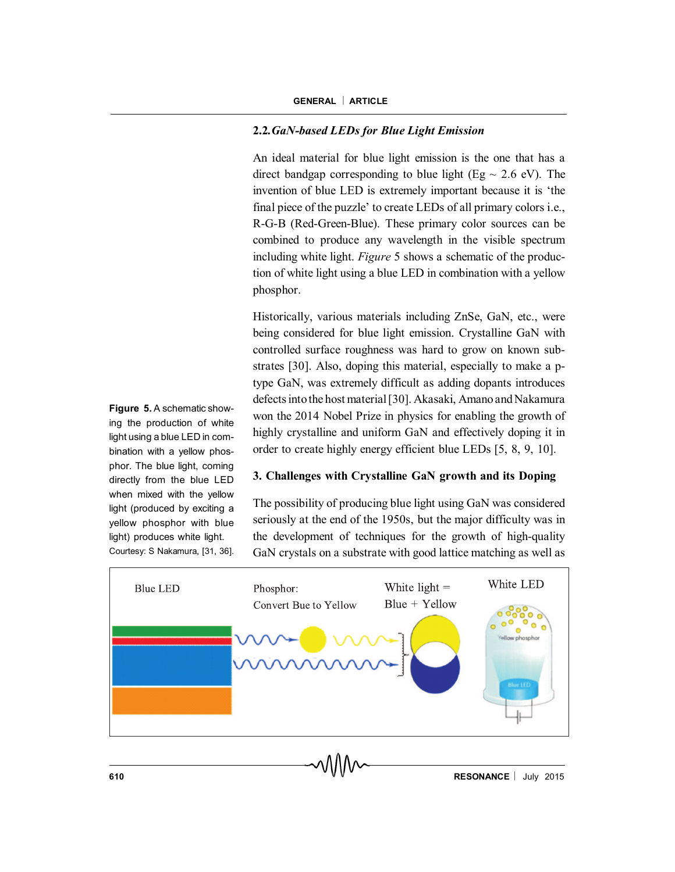## **2.2***.GaN-based LEDs for Blue Light Emission*

An ideal material for blue light emission is the one that has a direct bandgap corresponding to blue light (Eg  $\sim$  2.6 eV). The invention of blue LED is extremely important because it is 'the final piece of the puzzle' to create LEDs of all primary colors i.e., R-G-B (Red-Green-Blue). These primary color sources can be combined to produce any wavelength in the visible spectrum including white light. *Figure* 5 shows a schematic of the production of white light using a blue LED in combination with a yellow phosphor.

Historically, various materials including ZnSe, GaN, etc., were being considered for blue light emission. Crystalline GaN with controlled surface roughness was hard to grow on known substrates [30]. Also, doping this material, especially to make a ptype GaN, was extremely difficult as adding dopants introduces defects into the host material [30]. Akasaki, Amano and Nakamura won the 2014 Nobel Prize in physics for enabling the growth of highly crystalline and uniform GaN and effectively doping it in order to create highly energy efficient blue LEDs [5, 8, 9, 10].

## **3. Challenges with Crystalline GaN growth and its Doping**

The possibility of producing blue light using GaN was considered seriously at the end of the 1950s, but the major difficulty was in the development of techniques for the growth of high-quality GaN crystals on a substrate with good lattice matching as well as



**Figure 5.** A schematic showing the production of white light using a blue LED in combination with a yellow phosphor. The blue light, coming directly from the blue LED when mixed with the yellow light (produced by exciting a yellow phosphor with blue light) produces white light. Courtesy: S Nakamura, [31, 36].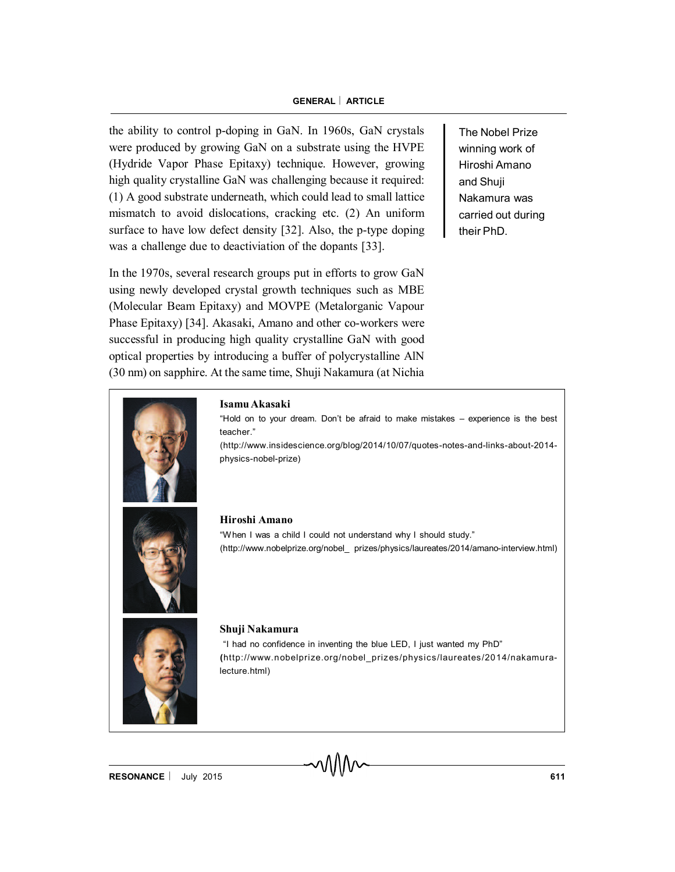the ability to control p-doping in GaN. In 1960s, GaN crystals were produced by growing GaN on a substrate using the HVPE (Hydride Vapor Phase Epitaxy) technique. However, growing high quality crystalline GaN was challenging because it required: (1) A good substrate underneath, which could lead to small lattice mismatch to avoid dislocations, cracking etc. (2) An uniform surface to have low defect density [32]. Also, the p-type doping was a challenge due to deactiviation of the dopants [33].

In the 1970s, several research groups put in efforts to grow GaN using newly developed crystal growth techniques such as MBE (Molecular Beam Epitaxy) and MOVPE (Metalorganic Vapour Phase Epitaxy) [34]. Akasaki, Amano and other co-workers were successful in producing high quality crystalline GaN with good optical properties by introducing a buffer of polycrystalline AlN (30 nm) on sapphire. At the same time, Shuji Nakamura (at Nichia

The Nobel Prize winning work of Hiroshi Amano and Shuji Nakamura was carried out during their PhD.



#### **Isamu Akasaki**

"Hold on to your dream. Don't be afraid to make mistakes – experience is the best teacher."

(http://www.insidescience.org/blog/2014/10/07/quotes-notes-and-links-about-2014 physics-nobel-prize)



#### **Hiroshi Amano**

"W hen I was a child I could not understand why I should study." (http://www.nobelprize.org/nobel\_ prizes/physics/laureates/2014/amano-interview.html)



#### **Shuji Nakamura**

"I had no confidence in inventing the blue LED, I just wanted my PhD" **(**http://www.nobelprize.org/nobel\_prizes/physics/laureates/2014/nakamuralecture.html)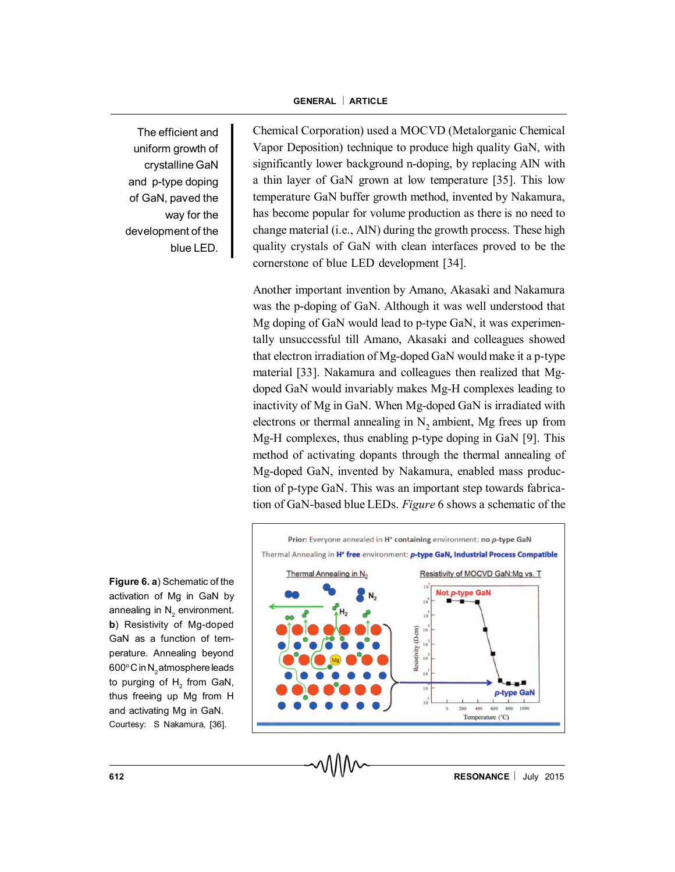The efficient and uniform growth of crystalline GaN and p-type doping of GaN, paved the way for the development of the blue LED.

**Figure 6. a**) Schematic of the activation of Mg in GaN by annealing in  $\mathsf{N}_2^{}$  environment. **b**) Resistivity of Mg-doped GaN as a function of temperature. Annealing beyond 600° C in N $_{\rm 2}$ atmosphere leads to purging of  $\mathsf{H}_2^{}$  from GaN, thus freeing up Mg from H and activating Mg in GaN. Courtesy: S Nakamura, [36].

Chemical Corporation) used a MOCVD (Metalorganic Chemical Vapor Deposition) technique to produce high quality GaN, with significantly lower background n-doping, by replacing AlN with a thin layer of GaN grown at low temperature [35]. This low temperature GaN buffer growth method, invented by Nakamura, has become popular for volume production as there is no need to change material (i.e., AlN) during the growth process. These high quality crystals of GaN with clean interfaces proved to be the cornerstone of blue LED development [34].

Another important invention by Amano, Akasaki and Nakamura was the p-doping of GaN. Although it was well understood that Mg doping of GaN would lead to p-type GaN, it was experimentally unsuccessful till Amano, Akasaki and colleagues showed that electron irradiation of Mg-doped GaN would make it a p-type material [33]. Nakamura and colleagues then realized that Mgdoped GaN would invariably makes Mg-H complexes leading to inactivity of Mg in GaN. When Mg-doped GaN is irradiated with electrons or thermal annealing in  $N_2$  ambient, Mg frees up from Mg-H complexes, thus enabling p-type doping in GaN [9]. This method of activating dopants through the thermal annealing of Mg-doped GaN, invented by Nakamura, enabled mass production of p-type GaN. This was an important step towards fabrication of GaN-based blue LEDs. *Figure* 6 shows a schematic of the

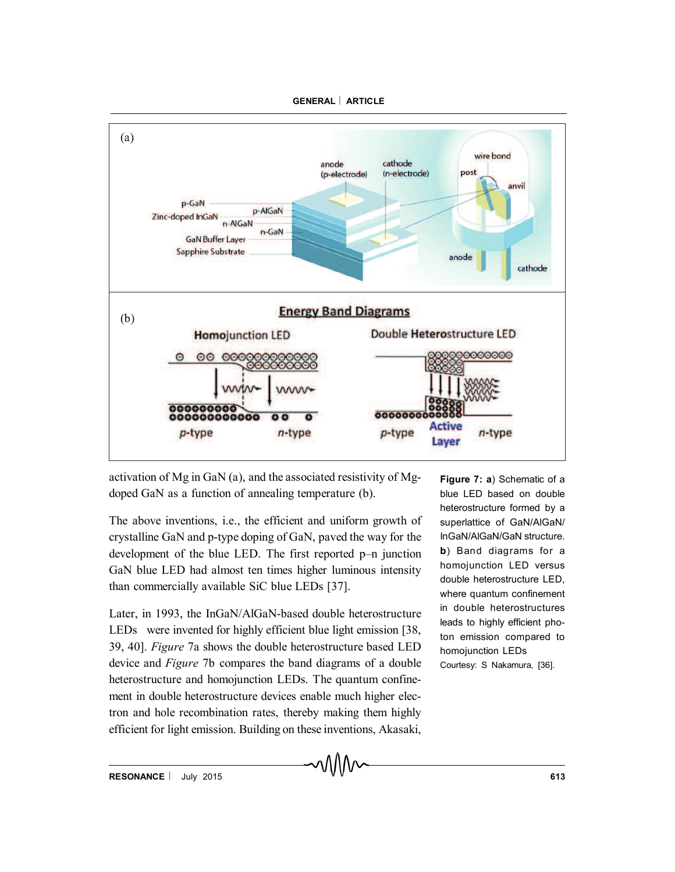

activation of Mg in GaN (a), and the associated resistivity of Mgdoped GaN as a function of annealing temperature (b).

The above inventions, i.e., the efficient and uniform growth of crystalline GaN and p-type doping of GaN, paved the way for the development of the blue LED. The first reported p–n junction GaN blue LED had almost ten times higher luminous intensity than commercially available SiC blue LEDs [37].

Later, in 1993, the InGaN/AlGaN-based double heterostructure LEDs were invented for highly efficient blue light emission [38, 39, 40]. *Figure* 7a shows the double heterostructure based LED device and *Figure* 7b compares the band diagrams of a double heterostructure and homojunction LEDs. The quantum confinement in double heterostructure devices enable much higher electron and hole recombination rates, thereby making them highly efficient for light emission. Building on these inventions, Akasaki,

**Figure 7: a**) Schematic of a blue LED based on double heterostructure formed by a superlattice of GaN/AlGaN/ InGaN/AlGaN/GaN structure. **b**) Band diagrams for a homojunction LED versus double heterostructure LED, where quantum confinement in double heterostructures leads to highly efficient photon emission compared to homojunction LEDs Courtesy: S Nakamura, [36].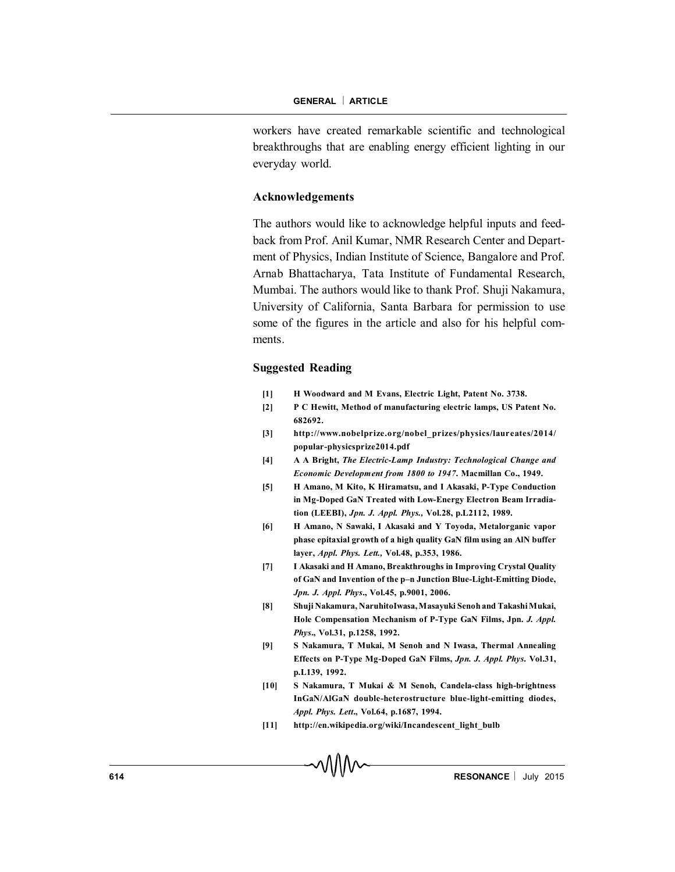workers have created remarkable scientific and technological breakthroughs that are enabling energy efficient lighting in our everyday world.

### **Acknowledgements**

The authors would like to acknowledge helpful inputs and feedback from Prof. Anil Kumar, NMR Research Center and Department of Physics, Indian Institute of Science, Bangalore and Prof. Arnab Bhattacharya, Tata Institute of Fundamental Research, Mumbai. The authors would like to thank Prof. Shuji Nakamura, University of California, Santa Barbara for permission to use some of the figures in the article and also for his helpful comments.

#### **Suggested Reading**

- **[1] H Woodward and M Evans, Electric Light, Patent No. 3738.**
- **[2] P C Hewitt, Method of manufacturing electric lamps, US Patent No. 682692.**
- **[3] http://www.nobelprize.org/nobel\_prizes/physics/laureates/2014/ popular-physicsprize2014.pdf**
- **[4] A A Bright,** *The Electric-Lamp Industry: Technological Change and Economic Development from 1800 to 1947***. Macmillan Co., 1949.**
- **[5] H Amano, M Kito, K Hiramatsu, and I Akasaki, P-Type Conduction in Mg-Doped GaN Treated with Low-Energy Electron Beam Irradiation (LEEBI),** *Jpn. J. Appl. Phys.,* **Vol.28, p.L2112, 1989.**
- **[6] H Amano, N Sawaki, I Akasaki and Y Toyoda, Metalorganic vapor phase epitaxial growth of a high quality GaN film using an AlN buffer layer,** *Appl. Phys. Lett.,* **Vol.48, p.353, 1986.**
- **[7] I Akasaki and H Amano, Breakthroughs in Improving Crystal Quality of GaN and Invention of the p–n Junction Blue-Light-Emitting Diode,** *Jpn. J. Appl. Phys***., Vol.45, p.9001, 2006.**
- **[8] Shuji Nakamura, NaruhitoIwasa,Masayuki Senoh and TakashiMukai, Hole Compensation Mechanism of P-Type GaN Films, Jpn.** *J. Appl. Phys***., Vol.31, p.1258, 1992.**
- **[9] S Nakamura, T Mukai, M Senoh and N Iwasa, Thermal Annealing Effects on P-Type Mg-Doped GaN Films,** *Jpn. J. Appl. Phys***. Vol.31, p.L139, 1992.**
- **[10] S Nakamura, T Mukai & M Senoh, Candela-class high-brightness InGaN/AlGaN double-heterostructure blue-light-emitting diodes,** *Appl. Phys. Lett***., Vol.64, p.1687, 1994.**
- **[11] http://en.wikipedia.org/wiki/Incandescent\_light\_bulb**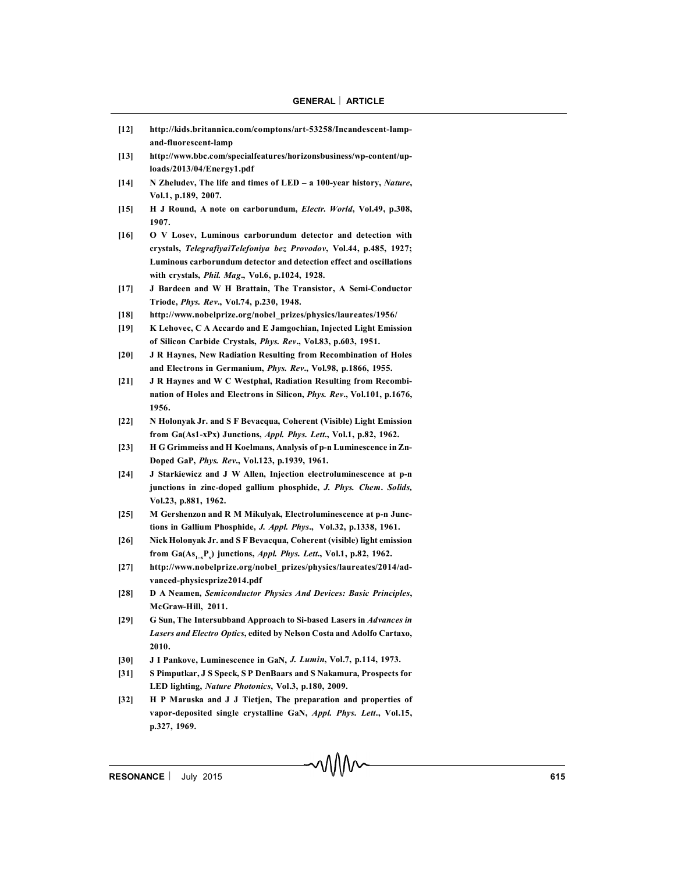- **[12] http://kids.britannica.com/comptons/art-53258/Incandescent-lampand-fluorescent-lamp**
- **[13] http://www.bbc.com/specialfeatures/horizonsbusiness/wp-content/uploads/2013/04/Energy1.pdf**
- **[14] N Zheludev, The life and times of LED a 100-year history,** *Nature***, Vol.1, p.189, 2007.**
- **[15] H J Round, A note on carborundum,** *Electr. World***, Vol.49, p.308, 1907.**
- **[16] O V Losev, Luminous carborundum detector and detection with crystals,** *TelegrafiyaiTelefoniya bez Provodov***, Vol.44, p.485, 1927; Luminous carborundum detector and detection effect and oscillations with crystals,** *Phil. Mag***., Vol.6, p.1024, 1928.**
- **[17] J Bardeen and W H Brattain, The Transistor, A Semi-Conductor Triode,** *Phys. Rev***., Vol.74, p.230, 1948.**
- **[18] http://www.nobelprize.org/nobel\_prizes/physics/laureates/1956/**
- **[19] K Lehovec, C A Accardo and E Jamgochian, Injected Light Emission of Silicon Carbide Crystals,** *Phys. Rev***., Vol.83, p.603, 1951.**
- **[20] J R Haynes, New Radiation Resulting from Recombination of Holes and Electrons in Germanium,** *Phys. Rev***., Vol.98, p.1866, 1955.**
- **[21] J R Haynes and W C Westphal, Radiation Resulting from Recombination of Holes and Electrons in Silicon,** *Phys. Rev***., Vol.101, p.1676, 1956.**
- **[22] N Holonyak Jr. and S F Bevacqua, Coherent (Visible) Light Emission from Ga(As1-xPx) Junctions,** *Appl. Phys. Lett***., Vol.1, p.82, 1962.**
- **[23] H G Grimmeiss and H Koelmans, Analysis of p-n Luminescence in Zn-Doped GaP,** *Phys. Rev***., Vol.123, p.1939, 1961.**
- **[24] J Starkiewicz and J W Allen, Injection electroluminescence at p-n junctions in zinc-doped gallium phosphide,** *J. Phys. Chem***.** *Solids,* **Vol.23, p.881, 1962.**
- **[25] M Gershenzon and R M Mikulyak, Electroluminescence at p-n Junctions in Gallium Phosphide,** *J. Appl. Phys***., Vol.32, p.1338, 1961.**
- **[26] Nick Holonyak Jr. and S F Bevacqua, Coherent (visible) light emission from Ga(As1–xP<sup>x</sup> ) junctions,** *Appl. Phys. Lett***., Vol.1, p.82, 1962.**
- **[27] http://www.nobelprize.org/nobel\_prizes/physics/laureates/2014/advanced-physicsprize2014.pdf**
- **[28] D A Neamen,** *Semiconductor Physics And Devices: Basic Principles***, McGraw-Hill, 2011.**
- **[29] G Sun, The Intersubband Approach to Si-based Lasers in** *Advances in Lasers and Electro Optics***, edited by Nelson Costa and Adolfo Cartaxo, 2010.**
- **[30] J I Pankove, Luminescence in GaN,** *J. Lumin***, Vol.7, p.114, 1973.**
- **[31] S Pimputkar, J S Speck, S P DenBaars and S Nakamura, Prospects for LED lighting,** *Nature Photonics***, Vol.3, p.180, 2009.**
- **[32] H P Maruska and J J Tietjen, The preparation and properties of vapor-deposited single crystalline GaN,** *Appl. Phys. Lett***., Vol.15, p.327, 1969.**